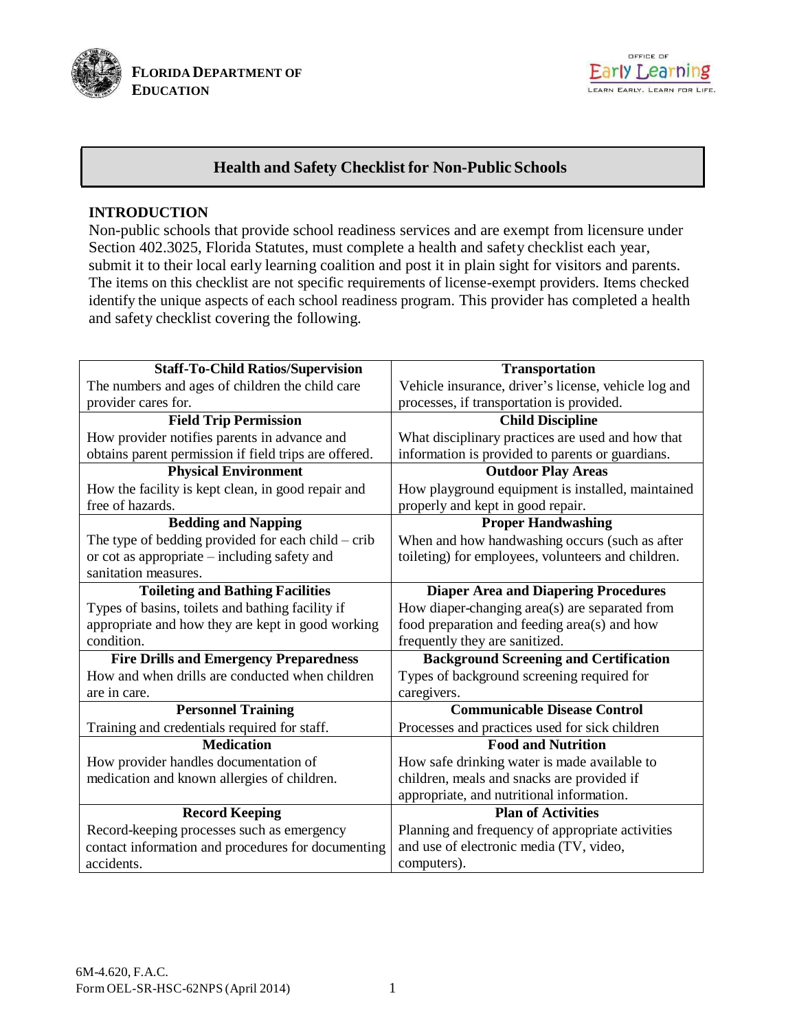



# **Health and Safety Checklist for Non-Public Schools**

### **INTRODUCTION**

Non-public schools that provide school readiness services and are exempt from licensure under Section 402.3025, Florida Statutes, must complete a health and safety checklist each year, submit it to their local early learning coalition and post it in plain sight for visitors and parents. The items on this checklist are not specific requirements of license-exempt providers. Items checked identify the unique aspects of each school readiness program. This provider has completed a health and safety checklist covering the following.

| <b>Staff-To-Child Ratios/Supervision</b>              | <b>Transportation</b>                                |
|-------------------------------------------------------|------------------------------------------------------|
| The numbers and ages of children the child care       | Vehicle insurance, driver's license, vehicle log and |
| provider cares for.                                   | processes, if transportation is provided.            |
| <b>Field Trip Permission</b>                          | <b>Child Discipline</b>                              |
| How provider notifies parents in advance and          | What disciplinary practices are used and how that    |
| obtains parent permission if field trips are offered. | information is provided to parents or guardians.     |
| <b>Physical Environment</b>                           | <b>Outdoor Play Areas</b>                            |
| How the facility is kept clean, in good repair and    | How playground equipment is installed, maintained    |
| free of hazards.                                      | properly and kept in good repair.                    |
| <b>Bedding and Napping</b>                            | <b>Proper Handwashing</b>                            |
| The type of bedding provided for each child - crib    | When and how handwashing occurs (such as after       |
| or cot as appropriate – including safety and          | toileting) for employees, volunteers and children.   |
| sanitation measures.                                  |                                                      |
| <b>Toileting and Bathing Facilities</b>               | <b>Diaper Area and Diapering Procedures</b>          |
| Types of basins, toilets and bathing facility if      | How diaper-changing area(s) are separated from       |
| appropriate and how they are kept in good working     | food preparation and feeding area(s) and how         |
| condition.                                            | frequently they are sanitized.                       |
| <b>Fire Drills and Emergency Preparedness</b>         | <b>Background Screening and Certification</b>        |
| How and when drills are conducted when children       | Types of background screening required for           |
| are in care.                                          | caregivers.                                          |
| <b>Personnel Training</b>                             | <b>Communicable Disease Control</b>                  |
| Training and credentials required for staff.          | Processes and practices used for sick children       |
| <b>Medication</b>                                     | <b>Food and Nutrition</b>                            |
| How provider handles documentation of                 | How safe drinking water is made available to         |
| medication and known allergies of children.           | children, meals and snacks are provided if           |
|                                                       | appropriate, and nutritional information.            |
| <b>Record Keeping</b>                                 | <b>Plan of Activities</b>                            |
| Record-keeping processes such as emergency            | Planning and frequency of appropriate activities     |
| contact information and procedures for documenting    | and use of electronic media (TV, video,              |
| accidents.                                            | computers).                                          |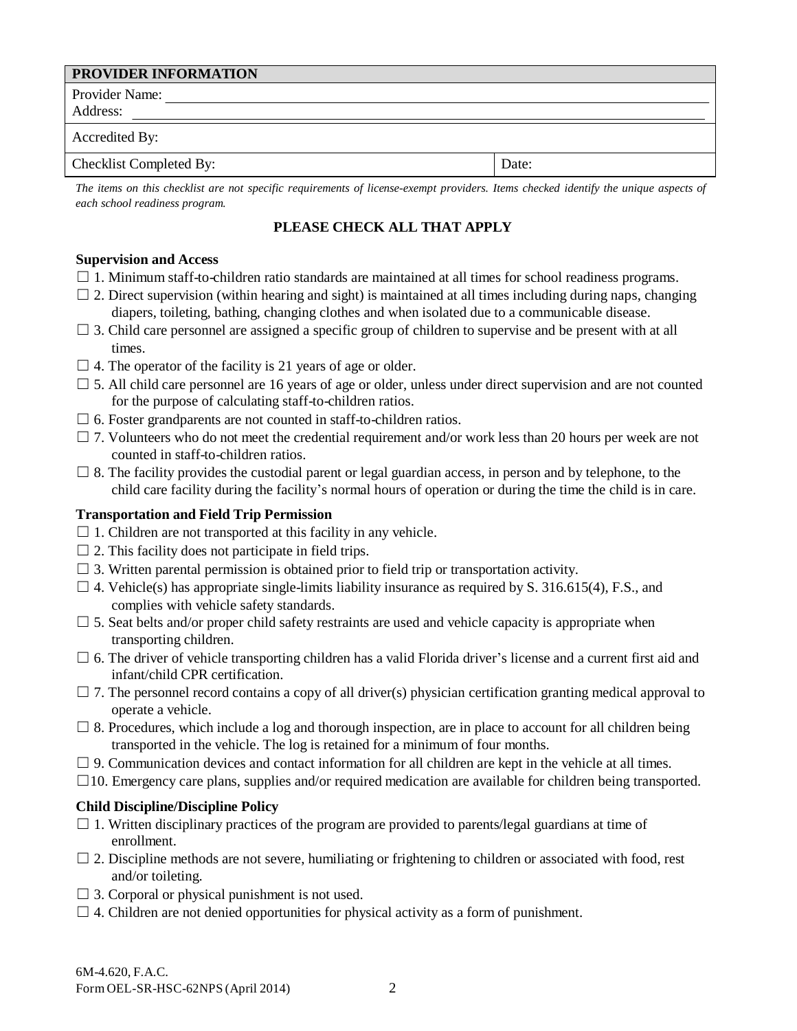| <b>PROVIDER INFORMATION</b> |       |
|-----------------------------|-------|
| Provider Name:              |       |
| Address:                    |       |
| Accredited By:              |       |
| Checklist Completed By:     | Date: |

The items on this checklist are not specific requirements of license-exempt providers. Items checked identify the unique aspects of *each school readiness program.*

# **PLEASE CHECK ALL THAT APPLY**

### **Supervision and Access**

- $\Box$  1. Minimum staff-to-children ratio standards are maintained at all times for school readiness programs.
- $\Box$  2. Direct supervision (within hearing and sight) is maintained at all times including during naps, changing diapers, toileting, bathing, changing clothes and when isolated due to a communicable disease.
- $\Box$  3. Child care personnel are assigned a specific group of children to supervise and be present with at all times.
- $\Box$  4. The operator of the facility is 21 years of age or older.
- $\Box$  5. All child care personnel are 16 years of age or older, unless under direct supervision and are not counted for the purpose of calculating staff-to-children ratios.
- $\Box$  6. Foster grandparents are not counted in staff-to-children ratios.
- $\Box$  7. Volunteers who do not meet the credential requirement and/or work less than 20 hours per week are not counted in staff-to-children ratios.
- $\Box$  8. The facility provides the custodial parent or legal guardian access, in person and by telephone, to the child care facility during the facility's normal hours of operation or during the time the child is in care.

### **Transportation and Field Trip Permission**

- $\Box$  1. Children are not transported at this facility in any vehicle.
- $\Box$  2. This facility does not participate in field trips.
- $\Box$  3. Written parental permission is obtained prior to field trip or transportation activity.
- $\Box$  4. Vehicle(s) has appropriate single-limits liability insurance as required by S. 316.615(4), F.S., and complies with vehicle safety standards.
- $\square$  5. Seat belts and/or proper child safety restraints are used and vehicle capacity is appropriate when transporting children.
- $\Box$  6. The driver of vehicle transporting children has a valid Florida driver's license and a current first aid and infant/child CPR certification.
- $\Box$  7. The personnel record contains a copy of all driver(s) physician certification granting medical approval to operate a vehicle.
- $\Box$  8. Procedures, which include a log and thorough inspection, are in place to account for all children being transported in the vehicle. The log is retained for a minimum of four months.
- $\Box$  9. Communication devices and contact information for all children are kept in the vehicle at all times.
- $\Box$ 10. Emergency care plans, supplies and/or required medication are available for children being transported.

# **Child Discipline/Discipline Policy**

- $\Box$  1. Written disciplinary practices of the program are provided to parents/legal guardians at time of enrollment.
- $\Box$  2. Discipline methods are not severe, humiliating or frightening to children or associated with food, rest and/or toileting.
- $\Box$  3. Corporal or physical punishment is not used.
- $\Box$  4. Children are not denied opportunities for physical activity as a form of punishment.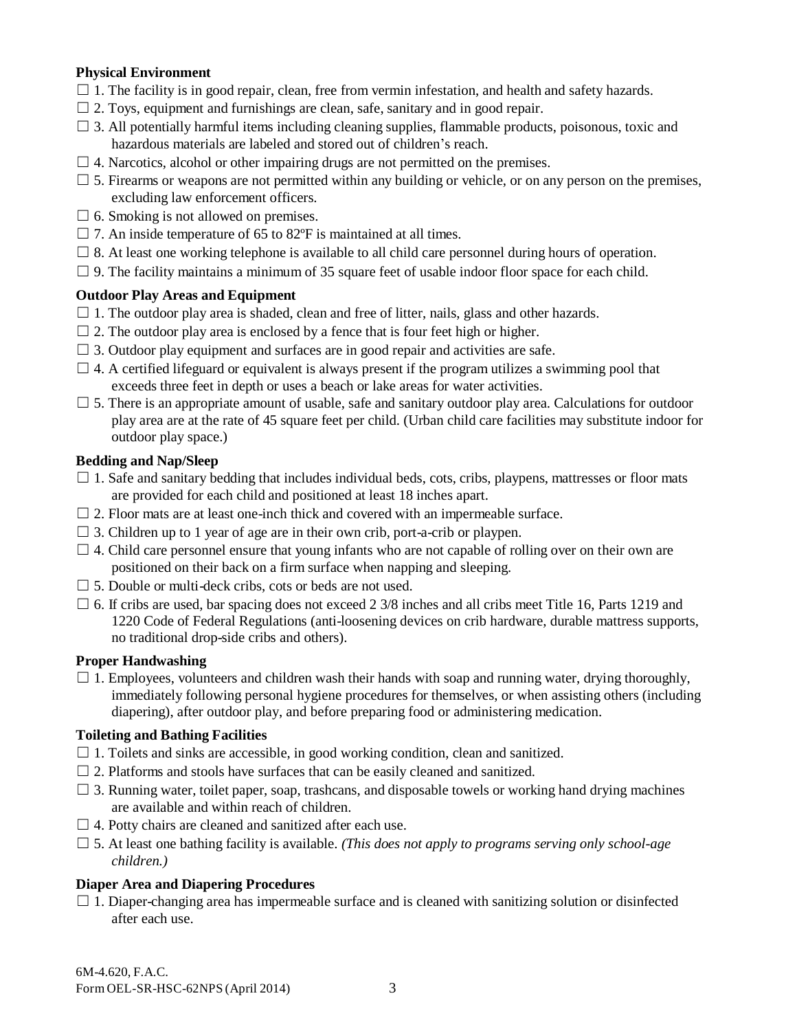## **Physical Environment**

- $\Box$  1. The facility is in good repair, clean, free from vermin infestation, and health and safety hazards.
- $\Box$  2. Toys, equipment and furnishings are clean, safe, sanitary and in good repair.
- $\Box$  3. All potentially harmful items including cleaning supplies, flammable products, poisonous, toxic and hazardous materials are labeled and stored out of children's reach.
- $\Box$  4. Narcotics, alcohol or other impairing drugs are not permitted on the premises.
- $\Box$  5. Firearms or weapons are not permitted within any building or vehicle, or on any person on the premises, excluding law enforcement officers.
- $\Box$  6. Smoking is not allowed on premises.
- $\Box$  7. An inside temperature of 65 to 82 $\degree$ F is maintained at all times.
- $\square$  8. At least one working telephone is available to all child care personnel during hours of operation.
- $\Box$  9. The facility maintains a minimum of 35 square feet of usable indoor floor space for each child.

### **Outdoor Play Areas and Equipment**

- $\Box$  1. The outdoor play area is shaded, clean and free of litter, nails, glass and other hazards.
- $\Box$  2. The outdoor play area is enclosed by a fence that is four feet high or higher.
- $\Box$  3. Outdoor play equipment and surfaces are in good repair and activities are safe.
- $\Box$  4. A certified lifeguard or equivalent is always present if the program utilizes a swimming pool that exceeds three feet in depth or uses a beach or lake areas for water activities.
- $\Box$  5. There is an appropriate amount of usable, safe and sanitary outdoor play area. Calculations for outdoor play area are at the rate of 45 square feet per child. (Urban child care facilities may substitute indoor for outdoor play space.)

### **Bedding and Nap/Sleep**

- $\Box$  1. Safe and sanitary bedding that includes individual beds, cots, cribs, playpens, mattresses or floor mats are provided for each child and positioned at least 18 inches apart.
- $\Box$  2. Floor mats are at least one-inch thick and covered with an impermeable surface.
- $\Box$  3. Children up to 1 year of age are in their own crib, port-a-crib or playpen.
- $\Box$  4. Child care personnel ensure that young infants who are not capable of rolling over on their own are positioned on their back on a firm surface when napping and sleeping.
- $\Box$  5. Double or multi-deck cribs, cots or beds are not used.
- $\Box$  6. If cribs are used, bar spacing does not exceed 2 3/8 inches and all cribs meet Title 16, Parts 1219 and 1220 Code of Federal Regulations (anti-loosening devices on crib hardware, durable mattress supports, no traditional drop-side cribs and others).

#### **Proper Handwashing**

 $\Box$  1. Employees, volunteers and children wash their hands with soap and running water, drying thoroughly, immediately following personal hygiene procedures for themselves, or when assisting others (including diapering), after outdoor play, and before preparing food or administering medication.

#### **Toileting and Bathing Facilities**

- $\Box$  1. Toilets and sinks are accessible, in good working condition, clean and sanitized.
- $\Box$  2. Platforms and stools have surfaces that can be easily cleaned and sanitized.
- $\Box$  3. Running water, toilet paper, soap, trashcans, and disposable towels or working hand drying machines are available and within reach of children.
- $\Box$  4. Potty chairs are cleaned and sanitized after each use.
- $\Box$  5. At least one bathing facility is available. *(This does not apply to programs serving only school-age children.)*

# **Diaper Area and Diapering Procedures**

 $\Box$  1. Diaper-changing area has impermeable surface and is cleaned with sanitizing solution or disinfected after each use.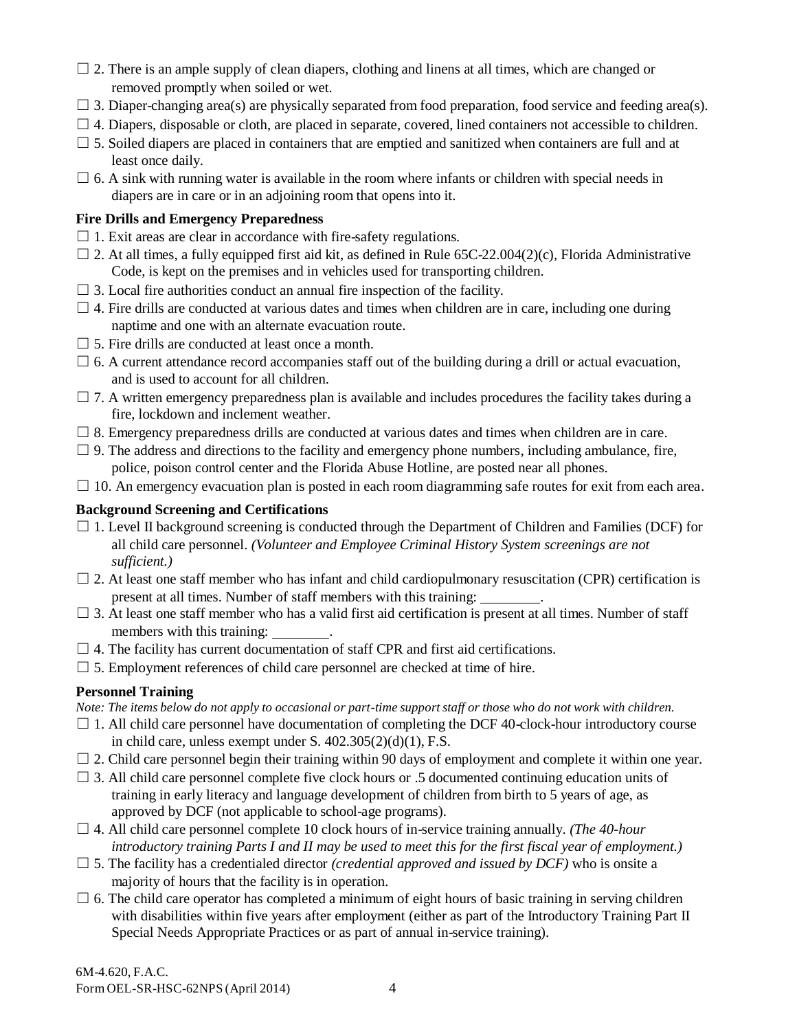- $\Box$  2. There is an ample supply of clean diapers, clothing and linens at all times, which are changed or removed promptly when soiled or wet.
- $\Box$  3. Diaper-changing area(s) are physically separated from food preparation, food service and feeding area(s).
- $\Box$  4. Diapers, disposable or cloth, are placed in separate, covered, lined containers not accessible to children.
- $\Box$  5. Soiled diapers are placed in containers that are emptied and sanitized when containers are full and at least once daily.
- $\Box$  6. A sink with running water is available in the room where infants or children with special needs in diapers are in care or in an adjoining room that opens into it.

# **Fire Drills and Emergency Preparedness**

- $\Box$  1. Exit areas are clear in accordance with fire-safety regulations.
- $\Box$  2. At all times, a fully equipped first aid kit, as defined in Rule 65C-22.004(2)(c), Florida Administrative Code, is kept on the premises and in vehicles used for transporting children.
- $\Box$  3. Local fire authorities conduct an annual fire inspection of the facility.
- $\Box$  4. Fire drills are conducted at various dates and times when children are in care, including one during naptime and one with an alternate evacuation route.
- $\Box$  5. Fire drills are conducted at least once a month.
- $\Box$  6. A current attendance record accompanies staff out of the building during a drill or actual evacuation, and is used to account for all children.
- $\Box$  7. A written emergency preparedness plan is available and includes procedures the facility takes during a fire, lockdown and inclement weather.
- $\Box$  8. Emergency preparedness drills are conducted at various dates and times when children are in care.
- $\Box$  9. The address and directions to the facility and emergency phone numbers, including ambulance, fire, police, poison control center and the Florida Abuse Hotline, are posted near all phones.
- $\Box$  10. An emergency evacuation plan is posted in each room diagramming safe routes for exit from each area.

## **Background Screening and Certifications**

- $\Box$  1. Level II background screening is conducted through the Department of Children and Families (DCF) for all child care personnel. *(Volunteer and Employee Criminal History System screenings are not sufficient.)*
- $\Box$  2. At least one staff member who has infant and child cardiopulmonary resuscitation (CPR) certification is present at all times. Number of staff members with this training: .
- $\Box$  3. At least one staff member who has a valid first aid certification is present at all times. Number of staff members with this training:
- $\Box$  4. The facility has current documentation of staff CPR and first aid certifications.
- $\Box$  5. Employment references of child care personnel are checked at time of hire.

# **Personnel Training**

Note: The items below do not apply to occasional or part-time support staff or those who do not work with children.

- $\Box$  1. All child care personnel have documentation of completing the DCF 40-clock-hour introductory course in child care, unless exempt under S.  $402.305(2)(d)(1)$ , F.S.
- $\Box$  2. Child care personnel begin their training within 90 days of employment and complete it within one year.
- $\Box$  3. All child care personnel complete five clock hours or .5 documented continuing education units of training in early literacy and language development of children from birth to 5 years of age, as approved by DCF (not applicable to school-age programs).
- □ 4. All child care personnel complete 10 clock hours of in-service training annually. *(The 40-hour* introductory training Parts I and II may be used to meet this for the first fiscal year of employment.)
- $\Box$  5. The facility has a credentialed director *(credential approved and issued by DCF)* who is onsite a majority of hours that the facility is in operation.
- $\Box$  6. The child care operator has completed a minimum of eight hours of basic training in serving children with disabilities within five years after employment (either as part of the Introductory Training Part II Special Needs Appropriate Practices or as part of annual in-service training).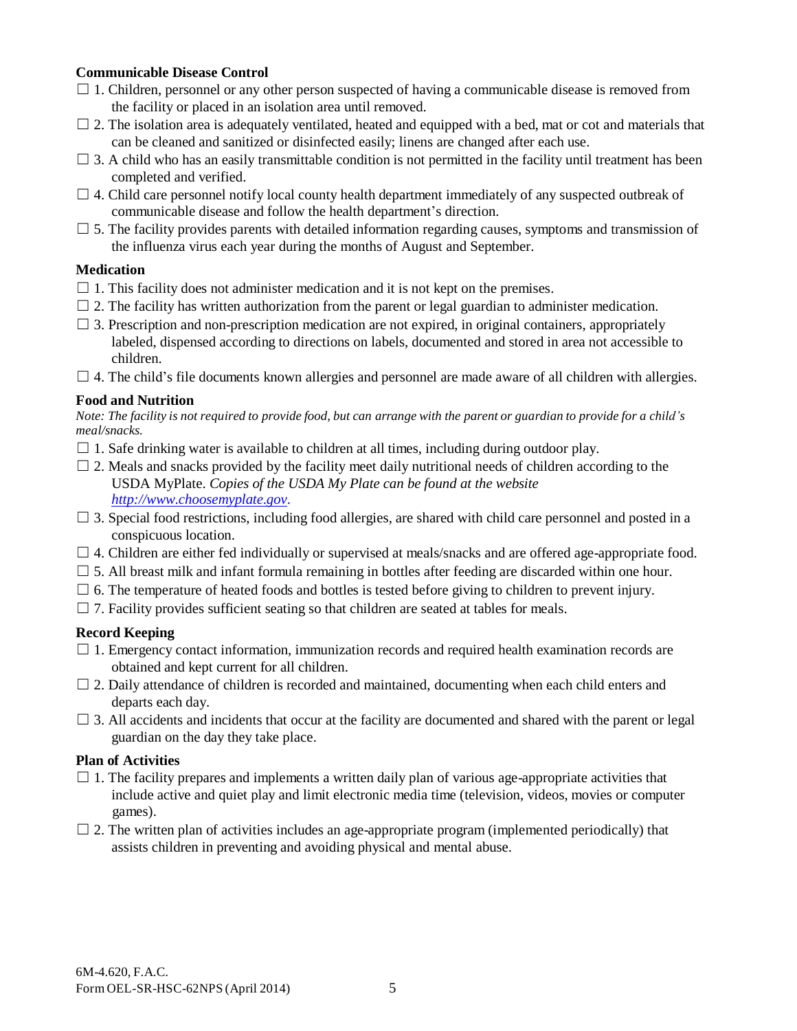### **Communicable Disease Control**

- $\Box$  1. Children, personnel or any other person suspected of having a communicable disease is removed from the facility or placed in an isolation area until removed.
- $\Box$  2. The isolation area is adequately ventilated, heated and equipped with a bed, mat or cot and materials that can be cleaned and sanitized or disinfected easily; linens are changed after each use.
- $\Box$  3. A child who has an easily transmittable condition is not permitted in the facility until treatment has been completed and verified.
- $\Box$  4. Child care personnel notify local county health department immediately of any suspected outbreak of communicable disease and follow the health department's direction.
- $\Box$  5. The facility provides parents with detailed information regarding causes, symptoms and transmission of the influenza virus each year during the months of August and September.

# **Medication**

- $\Box$  1. This facility does not administer medication and it is not kept on the premises.
- $\Box$  2. The facility has written authorization from the parent or legal guardian to administer medication.
- $\Box$  3. Prescription and non-prescription medication are not expired, in original containers, appropriately labeled, dispensed according to directions on labels, documented and stored in area not accessible to children.
- $\Box$  4. The child's file documents known allergies and personnel are made aware of all children with allergies.

### **Food and Nutrition**

Note: The facility is not required to provide food, but can arrange with the parent or guardian to provide for a child's *meal/snacks.*

- $\Box$  1. Safe drinking water is available to children at all times, including during outdoor play.
- $\Box$  2. Meals and snacks provided by the facility meet daily nutritional needs of children according to the USDA MyPlate. *Copies of the USDA My Plate can be found at the website [http://www.choosemyplate.gov.](http://www.choosemyplate.gov/)*
- $\Box$  3. Special food restrictions, including food allergies, are shared with child care personnel and posted in a conspicuous location.
- $\Box$  4. Children are either fed individually or supervised at meals/snacks and are offered age-appropriate food.
- $\Box$  5. All breast milk and infant formula remaining in bottles after feeding are discarded within one hour.
- $\Box$  6. The temperature of heated foods and bottles is tested before giving to children to prevent injury.
- $\Box$  7. Facility provides sufficient seating so that children are seated at tables for meals.

# **Record Keeping**

- $\Box$  1. Emergency contact information, immunization records and required health examination records are obtained and kept current for all children.
- $\Box$  2. Daily attendance of children is recorded and maintained, documenting when each child enters and departs each day.
- $\Box$  3. All accidents and incidents that occur at the facility are documented and shared with the parent or legal guardian on the day they take place.

# **Plan of Activities**

- $\Box$  1. The facility prepares and implements a written daily plan of various age-appropriate activities that include active and quiet play and limit electronic media time (television, videos, movies or computer games).
- $\Box$  2. The written plan of activities includes an age-appropriate program (implemented periodically) that assists children in preventing and avoiding physical and mental abuse.